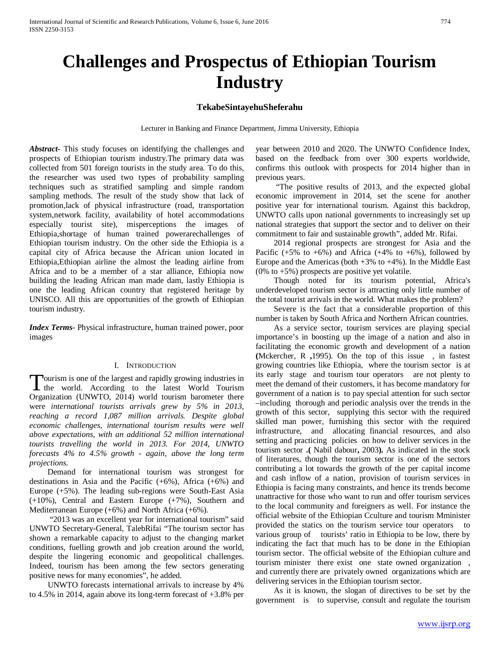# **Challenges and Prospectus of Ethiopian Tourism Industry**

## **TekabeSintayehuSheferahu**

Lecturer in Banking and Finance Department, Jimma University, Ethiopia

*Abstract***-** This study focuses on identifying the challenges and prospects of Ethiopian tourism industry.The primary data was collected from 501 foreign tourists in the study area. To do this, the researcher was used two types of probability sampling techniques such as stratified sampling and simple random sampling methods. The result of the study show that lack of promotion,lack of physical infrastructure (road, transportation system,network facility, availability of hotel accommodations especially tourist site), misperceptions the images of Ethiopia,shortage of human trained powerarechallenges of Ethiopian tourism industry. On the other side the Ethiopia is a capital city of Africa because the African union located in Ethiopia,Ethiopian airline the almost the leading airline from Africa and to be a member of a star alliance, Ethiopia now building the leading African man made dam, lastly Ethiopia is one the leading African country that registered heritage by UNISCO. All this are opportunities of the growth of Ethiopian tourism industry.

*Index Terms*- Physical infrastructure, human trained power, poor images

#### I. INTRODUCTION

Tourism is one of the largest and rapidly growing industries in<br>the world. According to the latest World Tourism I the world. According to the latest World Tourism Organization (UNWTO, 2014) world tourism barometer there were *international tourists arrivals grew by 5% in 2013, reaching a record 1,087 million arrivals. Despite global economic challenges, international tourism results were well above expectations, with an additional 52 million international tourists travelling the world in 2013. For 2014, UNWTO forecasts 4% to 4.5% growth - again, above the long term projections.*

 Demand for international tourism was strongest for destinations in Asia and the Pacific (+6%), Africa (+6%) and Europe (+5%). The leading sub-regions were South-East Asia (+10%), Central and Eastern Europe (+7%), Southern and Mediterranean Europe (+6%) and North Africa (+6%).

 "2013 was an excellent year for international tourism" said UNWTO Secretary-General, TalebRifai "The tourism sector has shown a remarkable capacity to adjust to the changing market conditions, fuelling growth and job creation around the world, despite the lingering economic and geopolitical challenges. Indeed, tourism has been among the few sectors generating positive news for many economies", he added.

 UNWTO forecasts international arrivals to increase by 4% to 4.5% in 2014, again above its long-term forecast of +3.8% per year between 2010 and 2020. The UNWTO Confidence Index, based on the feedback from over 300 experts worldwide, confirms this outlook with prospects for 2014 higher than in previous years.

 "The positive results of 2013, and the expected global economic improvement in 2014, set the scene for another positive year for international tourism. Against this backdrop, UNWTO calls upon national governments to increasingly set up national strategies that support the sector and to deliver on their commitment to fair and sustainable growth", added Mr. Rifai.

 2014 regional prospects are strongest for Asia and the Pacific  $(+5\% \text{ to } +6\%)$  and Africa  $(+4\% \text{ to } +6\%)$ , followed by Europe and the Americas (both  $+3\%$  to  $+4\%$ ). In the Middle East  $(0\% \text{ to } +5\%)$  prospects are positive yet volatile.

 Though noted for its tourism potential, Africa's underdeveloped tourism sector is attracting only little number of the total tourist arrivals in the world. What makes the problem?

 Severe is the fact that a considerable proportion of this number is taken by South Africa and Northern African countries.

 As a service sector, tourism services are playing special importance's in boosting up the image of a nation and also in facilitating the economic growth and development of a nation **(**Mckercher, R **,**1995). On the top of this issue , in fastest growing countries like Ethiopia, where the tourism sector is at its early stage and tourism tour operators are not plenty to meet the demand of their customers, it has become mandatory for government of a nation is to pay special attention for such sector –including thorough and periodic analysis over the trends in the growth of this sector, supplying this sector with the required skilled man power, furnishing this sector with the required infrastructure, and allocating financial resources, and also setting and practicing policies on how to deliver services in the tourism sector **.(** Nabil dabour**,** 2003**).** As indicated in the stock of literatures, though the tourism sector is one of the sectors contributing a lot towards the growth of the per capital income and cash inflow of a nation, provision of tourism services in Ethiopia is facing many constraints, and hence its trends become unattractive for those who want to run and offer tourism services to the local community and foreigners as well. For instance the official website of the Ethiopian Cculture and tourism Mminister provided the statics on the tourism service tour operators to various group of tourists' ratio in Ethiopia to be low, there by indicating the fact that much has to be done in the Ethiopian tourism sector. The official website of the Ethiopian culture and tourism minister there exist one state owned organization , and currently there are privately owned organizations which are delivering services in the Ethiopian tourism sector.

 As it is known, the slogan of directives to be set by the government is to supervise, consult and regulate the tourism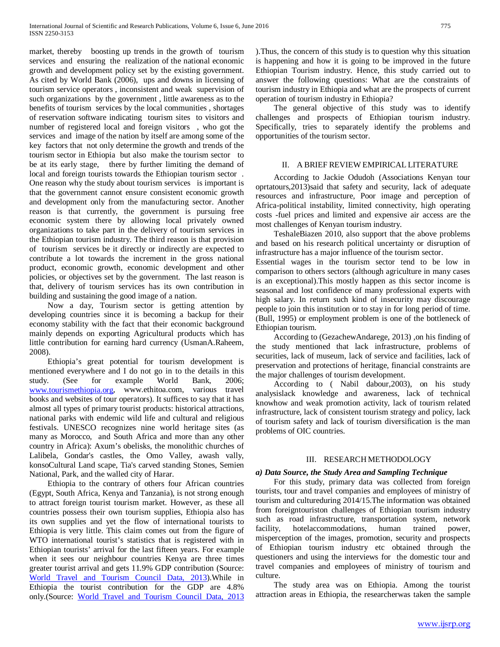market, thereby boosting up trends in the growth of tourism services and ensuring the realization of the national economic growth and development policy set by the existing government. As cited by World Bank (2006), ups and downs in licensing of tourism service operators , inconsistent and weak supervision of such organizations by the government , little awareness as to the benefits of tourism services by the local communities , shortages of reservation software indicating tourism sites to visitors and number of registered local and foreign visitors , who got the services and image of the nation by itself are among some of the key factors that not only determine the growth and trends of the tourism sector in Ethiopia but also make the tourism sector to be at its early stage, there by further limiting the demand of local and foreign tourists towards the Ethiopian tourism sector . One reason why the study about tourism services is important is that the government cannot ensure consistent economic growth and development only from the manufacturing sector. Another reason is that currently, the government is pursuing free economic system there by allowing local privately owned organizations to take part in the delivery of tourism services in the Ethiopian tourism industry. The third reason is that provision of tourism services be it directly or indirectly are expected to contribute a lot towards the increment in the gross national product, economic growth, economic development and other policies, or objectives set by the government. The last reason is that, delivery of tourism services has its own contribution in building and sustaining the good image of a nation.

 Now a day, Tourism sector is getting attention by developing countries since it is becoming a backup for their economy stability with the fact that their economic background mainly depends on exporting Agricultural products which has little contribution for earning hard currency (UsmanA.Raheem, 2008).

 Ethiopia's great potential for tourism development is mentioned everywhere and I do not go in to the details in this study. (See for example World Bank, 2006: study. (See for example World Bank, 2006; [www.tourismethiopia.org,](http://www.tourismethiopia.org/) www.ethitoa.com, various travel books and websites of tour operators). It suffices to say that it has almost all types of primary tourist products: historical attractions, national parks with endemic wild life and cultural and religious festivals. UNESCO recognizes nine world heritage sites (as many as Morocco, and South Africa and more than any other country in Africa): Axum's obelisks, the monolithic churches of Lalibela, Gondar's castles, the Omo Valley, awash vally, konsoCultural Land scape, Tia's carved standing Stones, Semien National, Park, and the walled city of Harar.

 Ethiopia to the contrary of others four African countries (Egypt, South Africa, Kenya and Tanzania), is not strong enough to attract foreign tourist tourism market. However, as these all countries possess their own tourism supplies, Ethiopia also has its own supplies and yet the flow of international tourists to Ethiopia is very little. This claim comes out from the figure of WTO international tourist's statistics that is registered with in Ethiopian tourists' arrival for the last fifteen years. For example when it sees our neighbour countries Kenya are three times greater tourist arrival and gets 11.9% GDP contribution (Source: [World Travel and Tourism Council Data, 2013\)](http://knoema.com/sys/browse/WTTC2013).While in Ethiopia the tourist contribution for the GDP are 4.8% only.(Source: [World Travel and Tourism Council Data, 2013](http://knoema.com/sys/browse/WTTC2013) ).Thus, the concern of this study is to question why this situation is happening and how it is going to be improved in the future Ethiopian Tourism industry. Hence, this study carried out to answer the following questions: What are the constraints of tourism industry in Ethiopia and what are the prospects of current operation of tourism industry in Ethiopia?

 The general objective of this study was to identify challenges and prospects of Ethiopian tourism industry. Specifically, tries to separately identify the problems and opportunities of the tourism sector.

## II. A BRIEF REVIEW EMPIRICAL LITERATURE

 According to Jackie Odudoh (Associations Kenyan tour oprtatours,2013)said that safety and security, lack of adequate resources and infrastructure, Poor image and perception of Africa-political instability, limited connectivity, high operating costs -fuel prices and limited and expensive air access are the most challenges of Kenyan tourism industry.

 TeshaleBiazen 2010, also support that the above problems and based on his research political uncertainty or disruption of infrastructure has a major influence of the tourism sector.

Essential wages in the tourism sector tend to be low in comparison to others sectors (although agriculture in many cases is an exceptional).This mostly happen as this sector income is seasonal and lost confidence of many professional experts with high salary. In return such kind of insecurity may discourage people to join this institution or to stay in for long period of time. (Bull, 1995) or employment problem is one of the bottleneck of Ethiopian tourism.

 According to (GezachewAndarege, 2013) ,on his finding of the study mentioned that lack infrastructure, problems of securities, lack of museum, lack of service and facilities, lack of preservation and protections of heritage, financial constraints are the major challenges of tourism development.

 According to ( Nabil dabour,2003), on his study analysislack knowledge and awareness, lack of technical knowhow and weak promotion activity, lack of tourism related infrastructure, lack of consistent tourism strategy and policy, lack of tourism safety and lack of tourism diversification is the man problems of OIC countries.

#### III. RESEARCH METHODOLOGY

#### *a) Data Source, the Study Area and Sampling Technique*

 For this study, primary data was collected from foreign tourists, tour and travel companies and employees of ministry of tourism and cultureduring 2014/15.The information was obtained from foreigntouriston challenges of Ethiopian tourism industry such as road infrastructure, transportation system, network facility, hotelaccommodations, human trained power, misperception of the images, promotion, security and prospects of Ethiopian tourism industry etc obtained through the questioners and using the interviews for the domestic tour and travel companies and employees of ministry of tourism and culture.

 The study area was on Ethiopia. Among the tourist attraction areas in Ethiopia, the researcherwas taken the sample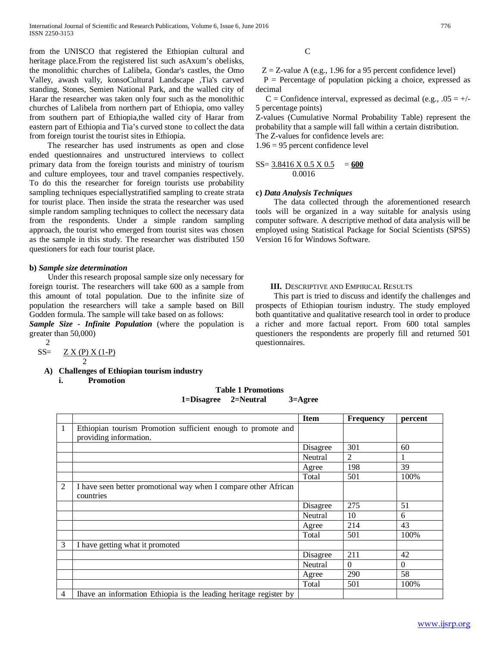from the UNISCO that registered the Ethiopian cultural and heritage place.From the registered list such asAxum's obelisks, the monolithic churches of Lalibela, Gondar's castles, the Omo Valley, awash vally, konsoCultural Landscape ,Tia's carved standing, Stones, Semien National Park, and the walled city of Harar the researcher was taken only four such as the monolithic churches of Lalibela from northern part of Ethiopia, omo valley from southern part of Ethiopia,the walled city of Harar from eastern part of Ethiopia and Tia's curved stone to collect the data from foreign tourist the tourist sites in Ethiopia.

 The researcher has used instruments as open and close ended questionnaires and unstructured interviews to collect primary data from the foreign tourists and ministry of tourism and culture employees, tour and travel companies respectively. To do this the researcher for foreign tourists use probability sampling techniques especiallystratified sampling to create strata for tourist place. Then inside the strata the researcher was used simple random sampling techniques to collect the necessary data from the respondents. Under a simple random sampling approach, the tourist who emerged from tourist sites was chosen as the sample in this study. The researcher was distributed 150 questioners for each four tourist place.

#### **b)** *Sample size determination*

 Under this research proposal sample size only necessary for foreign tourist. The researchers will take 600 as a sample from this amount of total population. Due to the infinite size of population the researchers will take a sample based on Bill Godden formula. The sample will take based on as follows:

*Sample Size - Infinite Population* (where the population is greater than 50,000)

 $rac{2}{SS}$ 

$$
SS = \frac{Z X (P) X (1-P)}{2}
$$

**A) Challenges of Ethiopian tourism industry** 

**i. Promotion** 

**C** 

 $Z = Z$ -value A (e.g., 1.96 for a 95 percent confidence level)

 $P =$  Percentage of population picking a choice, expressed as decimal

C = Confidence interval, expressed as decimal (e.g.,  $.05 = +/-$ 5 percentage points)

Z-values (Cumulative Normal Probability Table) represent the probability that a sample will fall within a certain distribution.

The Z-values for confidence levels are:

1.96 = 95 percent confidence level

### $SS = 3.8416 \times 0.5 \times 0.5 = 600$ 0.0016

#### **c)** *Data Analysis Techniques*

 The data collected through the aforementioned research tools will be organized in a way suitable for analysis using computer software. A descriptive method of data analysis will be employed using Statistical Package for Social Scientists (SPSS) Version 16 for Windows Software.

#### **III.** DESCRIPTIVE AND EMPIRICAL RESULTS

 This part is tried to discuss and identify the challenges and prospects of Ethiopian tourism industry. The study employed both quantitative and qualitative research tool in order to produce a richer and more factual report. From 600 total samples questioners the respondents are properly fill and returned 501 questionnaires.

| <b>Table 1 Promotions</b> |           |                    |  |
|---------------------------|-----------|--------------------|--|
| 1=Disagree                | 2=Neutral | $3 = \text{Agree}$ |  |

|                |                                                                   | <b>Item</b> | <b>Frequency</b> | percent  |
|----------------|-------------------------------------------------------------------|-------------|------------------|----------|
| 1              | Ethiopian tourism Promotion sufficient enough to promote and      |             |                  |          |
|                | providing information.                                            |             |                  |          |
|                |                                                                   | Disagree    | 301              | 60       |
|                |                                                                   | Neutral     | $\mathfrak{D}$   |          |
|                |                                                                   | Agree       | 198              | 39       |
|                |                                                                   | Total       | 501              | 100%     |
| $\overline{2}$ | I have seen better promotional way when I compare other African   |             |                  |          |
|                | countries                                                         |             |                  |          |
|                |                                                                   | Disagree    | 275              | 51       |
|                |                                                                   | Neutral     | 10               | 6        |
|                |                                                                   | Agree       | 214              | 43       |
|                |                                                                   | Total       | 501              | 100%     |
| 3              | I have getting what it promoted                                   |             |                  |          |
|                |                                                                   | Disagree    | 211              | 42       |
|                |                                                                   | Neutral     | $\Omega$         | $\Omega$ |
|                |                                                                   | Agree       | 290              | 58       |
|                |                                                                   | Total       | 501              | 100%     |
| 4              | Ihave an information Ethiopia is the leading heritage register by |             |                  |          |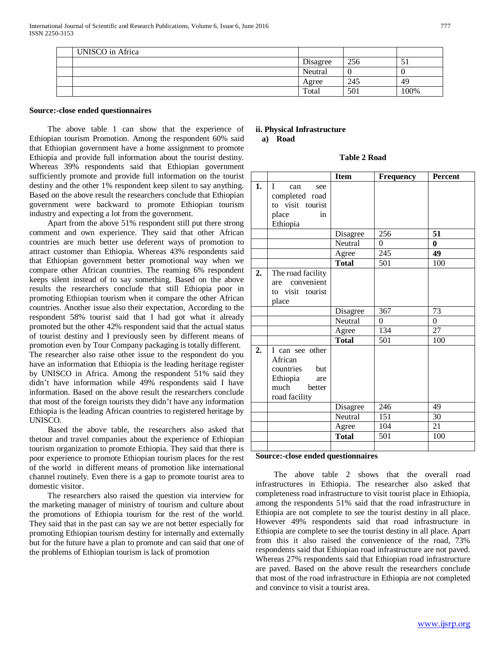| UNISCO in Africa |          |     |      |
|------------------|----------|-----|------|
|                  | Disagree | 256 | JІ   |
|                  | Neutral  | U   |      |
|                  | Agree    | 245 | -49  |
|                  | Total    | 501 | 100% |

#### **Source:-close ended questionnaires**

 The above table 1 can show that the experience of Ethiopian tourism Promotion. Among the respondent 60% said that Ethiopian government have a home assignment to promote Ethiopia and provide full information about the tourist destiny. Whereas 39% respondents said that Ethiopian government sufficiently promote and provide full information on the tourist destiny and the other 1% respondent keep silent to say anything. Based on the above result the researchers conclude that Ethiopian government were backward to promote Ethiopian tourism industry and expecting a lot from the government.

 Apart from the above 51% respondent still put there strong comment and own experience. They said that other African countries are much better use deferent ways of promotion to attract customer than Ethiopia. Whereas 43% respondents said that Ethiopian government better promotional way when we compare other African countries. The reaming 6% respondent keeps silent instead of to say something. Based on the above results the researchers conclude that still Ethiopia poor in promoting Ethiopian tourism when it compare the other African countries. Another issue also their expectation, According to the respondent 58% tourist said that I had got what it already promoted but the other 42% respondent said that the actual status of tourist destiny and I previously seen by different means of promotion even by Tour Company packaging is totally different. The researcher also raise other issue to the respondent do you have an information that Ethiopia is the leading heritage register by UNISCO in Africa. Among the respondent 51% said they didn't have information while 49% respondents said I have information. Based on the above result the researchers conclude that most of the foreign tourists they didn't have any information Ethiopia is the leading African countries to registered heritage by UNISCO.

 Based the above table, the researchers also asked that thetour and travel companies about the experience of Ethiopian tourism organization to promote Ethiopia. They said that there is poor experience to promote Ethiopian tourism places for the rest of the world in different means of promotion like international channel routinely. Even there is a gap to promote tourist area to domestic visitor.

 The researchers also raised the question via interview for the marketing manager of ministry of tourism and culture about the promotions of Ethiopia tourism for the rest of the world. They said that in the past can say we are not better especially for promoting Ethiopian tourism destiny for internally and externally but for the future have a plan to promote and can said that one of the problems of Ethiopian tourism is lack of promotion

## **ii. Physical Infrastructure a) Road**

**Table 2 Road**

|    |                            | <b>Item</b>  | Frequency        | <b>Percent</b>  |
|----|----------------------------|--------------|------------------|-----------------|
| 1. | $\mathbf{I}$<br>can<br>see |              |                  |                 |
|    | completed road             |              |                  |                 |
|    | to visit tourist           |              |                  |                 |
|    | place<br>in                |              |                  |                 |
|    | Ethiopia                   |              |                  |                 |
|    |                            | Disagree     | 256              | 51              |
|    |                            | Neutral      | $\theta$         | $\bf{0}$        |
|    |                            | Agree        | $\overline{245}$ | $\overline{49}$ |
|    |                            | <b>Total</b> | 501              | 100             |
| 2. | The road facility          |              |                  |                 |
|    | convenient<br>are          |              |                  |                 |
|    | to visit tourist           |              |                  |                 |
|    | place                      |              |                  |                 |
|    |                            | Disagree     | 367              | 73              |
|    |                            | Neutral      | $\overline{0}$   | $\overline{0}$  |
|    |                            | Agree        | 134              | $\overline{27}$ |
|    |                            | <b>Total</b> | 501              | 100             |
| 2. | I can see other            |              |                  |                 |
|    | African                    |              |                  |                 |
|    | countries but              |              |                  |                 |
|    | Ethiopia<br>are            |              |                  |                 |
|    | much<br>better             |              |                  |                 |
|    | road facility              |              |                  |                 |
|    |                            | Disagree     | 246              | 49              |
|    |                            | Neutral      | $\overline{151}$ | 30              |
|    |                            | Agree        | 104              | 21              |
|    |                            | <b>Total</b> | 501              | 100             |
|    |                            |              |                  |                 |

#### **Source:-close ended questionnaires**

 The above table 2 shows that the overall road infrastructures in Ethiopia. The researcher also asked that completeness road infrastructure to visit tourist place in Ethiopia, among the respondents 51% said that the road infrastructure in Ethiopia are not complete to see the tourist destiny in all place. However 49% respondents said that road infrastructure in Ethiopia are complete to see the tourist destiny in all place. Apart from this it also raised the convenience of the road, 73% respondents said that Ethiopian road infrastructure are not paved. Whereas 27% respondents said that Ethiopian road infrastructure are paved. Based on the above result the researchers conclude that most of the road infrastructure in Ethiopia are not completed and convince to visit a tourist area.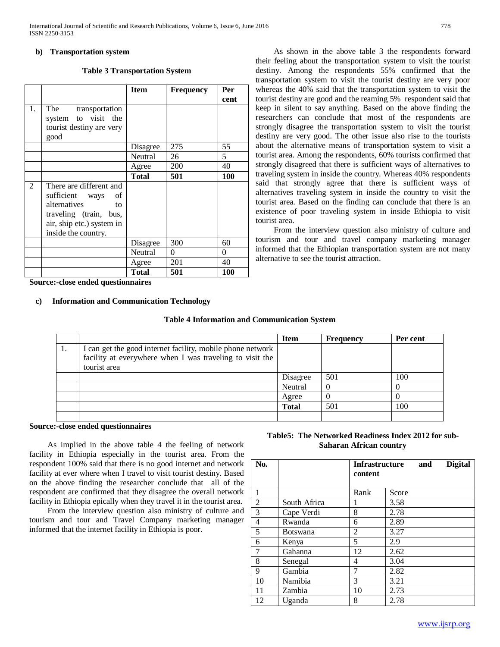### **b) Transportation system**

#### **Table 3 Transportation System**

|    |                                                                                                                                                         | <b>Item</b>  | <b>Frequency</b> | Per<br>cent |
|----|---------------------------------------------------------------------------------------------------------------------------------------------------------|--------------|------------------|-------------|
| 1. | The<br>transportation<br>system to visit the<br>tourist destiny are very<br>good                                                                        |              |                  |             |
|    |                                                                                                                                                         | Disagree     | 275              | 55          |
|    |                                                                                                                                                         | Neutral      | 26               | 5           |
|    |                                                                                                                                                         | Agree        | 200              | 40          |
|    |                                                                                                                                                         | <b>Total</b> | 501              | <b>100</b>  |
| 2  | There are different and<br>sufficient<br>οf<br>ways<br>alternatives<br>to<br>traveling (train, bus,<br>air, ship etc.) system in<br>inside the country. |              |                  |             |
|    |                                                                                                                                                         | Disagree     | 300              | 60          |
|    |                                                                                                                                                         | Neutral      | $\theta$         | 0           |
|    |                                                                                                                                                         | Agree        | 201              | 40          |
|    |                                                                                                                                                         | <b>Total</b> | 501              | <b>100</b>  |

 As shown in the above table 3 the respondents forward their feeling about the transportation system to visit the tourist destiny. Among the respondents 55% confirmed that the transportation system to visit the tourist destiny are very poor whereas the 40% said that the transportation system to visit the tourist destiny are good and the reaming 5% respondent said that keep in silent to say anything. Based on the above finding the researchers can conclude that most of the respondents are strongly disagree the transportation system to visit the tourist destiny are very good. The other issue also rise to the tourists about the alternative means of transportation system to visit a tourist area. Among the respondents, 60% tourists confirmed that strongly disagreed that there is sufficient ways of alternatives to traveling system in inside the country. Whereas 40% respondents said that strongly agree that there is sufficient ways of alternatives traveling system in inside the country to visit the tourist area. Based on the finding can conclude that there is an existence of poor traveling system in inside Ethiopia to visit tourist area.

 From the interview question also ministry of culture and tourism and tour and travel company marketing manager informed that the Ethiopian transportation system are not many alternative to see the tourist attraction.

**Source:-close ended questionnaires** 

## **c) Information and Communication Technology**

## **Table 4 Information and Communication System**

|                                                                                                                                        | <b>Item</b>  | Frequency | Per cent |
|----------------------------------------------------------------------------------------------------------------------------------------|--------------|-----------|----------|
| I can get the good internet facility, mobile phone network<br>facility at everywhere when I was traveling to visit the<br>tourist area |              |           |          |
|                                                                                                                                        | Disagree     | 501       | 100      |
|                                                                                                                                        | Neutral      | $\left($  | $\theta$ |
|                                                                                                                                        | Agree        |           | O        |
|                                                                                                                                        | <b>Total</b> | 501       | 100      |
|                                                                                                                                        |              |           |          |

#### **Source:-close ended questionnaires**

 As implied in the above table 4 the feeling of network facility in Ethiopia especially in the tourist area. From the respondent 100% said that there is no good internet and network facility at ever where when I travel to visit tourist destiny. Based on the above finding the researcher conclude that all of the respondent are confirmed that they disagree the overall network facility in Ethiopia epically when they travel it in the tourist area.

 From the interview question also ministry of culture and tourism and tour and Travel Company marketing manager informed that the internet facility in Ethiopia is poor.

## **Table5: The Networked Readiness Index 2012 for sub-Saharan African country**

| No.            |              |                | Infrastructure<br>and<br>content |  | <b>Digital</b> |
|----------------|--------------|----------------|----------------------------------|--|----------------|
| 1              |              | Rank           | Score                            |  |                |
| $\overline{2}$ | South Africa | 1              | 3.58                             |  |                |
| 3              | Cape Verdi   | 8              | 2.78                             |  |                |
| 4              | Rwanda       | 6              | 2.89                             |  |                |
| 5              | Botswana     | $\overline{c}$ | 3.27                             |  |                |
| 6              | Kenya        | 5              | 2.9                              |  |                |
| $\overline{7}$ | Gahanna      | 12             | 2.62                             |  |                |
| 8              | Senegal      | 4              | 3.04                             |  |                |
| 9              | Gambia       | 7              | 2.82                             |  |                |
| 10             | Namibia      | 3              | 3.21                             |  |                |
| 11             | Zambia       | 10             | 2.73                             |  |                |
| 12             | Uganda       | 8              | 2.78                             |  |                |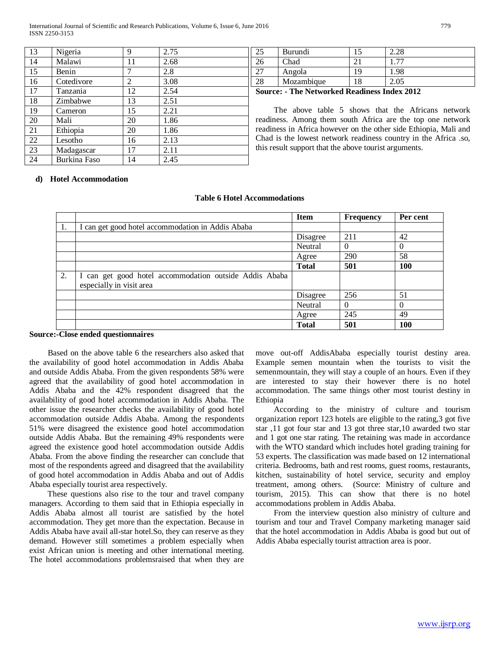International Journal of Scientific and Research Publications, Volume 6, Issue 6, June 2016 779 ISSN 2250-3153

| 13 | Nigeria      | 9  | 2.75 |
|----|--------------|----|------|
| 14 | Malawi       | 11 | 2.68 |
| 15 | Benin        |    | 2.8  |
| 16 | Cotedivore   | 2  | 3.08 |
| 17 | Tanzania     | 12 | 2.54 |
| 18 | Zimbabwe     | 13 | 2.51 |
| 19 | Cameron      | 15 | 2.21 |
| 20 | Mali         | 20 | 1.86 |
| 21 | Ethiopia     | 20 | 1.86 |
| 22 | Lesotho      | 16 | 2.13 |
| 23 | Madagascar   | 17 | 2.11 |
| 24 | Burkina Faso | 14 | 2.45 |

| ر_ | Burundi    | ے کہ وے |
|----|------------|---------|
|    | Chad       |         |
|    | Angola     | .98     |
| 28 | Mozambique |         |

**Source: - The Networked Readiness Index 2012**

 The above table 5 shows that the Africans network readiness. Among them south Africa are the top one network readiness in Africa however on the other side Ethiopia, Mali and Chad is the lowest network readiness country in the Africa .so, this result support that the above tourist arguments.

## **d) Hotel Accommodation**

|     |                                                                                    | <b>Item</b>  | <b>Frequency</b> | Per cent |
|-----|------------------------------------------------------------------------------------|--------------|------------------|----------|
| -1. | can get good hotel accommodation in Addis Ababa                                    |              |                  |          |
|     |                                                                                    | Disagree     | 211              | 42       |
|     |                                                                                    | Neutral      | $\Omega$         |          |
|     |                                                                                    | Agree        | 290              | 58       |
|     |                                                                                    | <b>Total</b> | 501              | 100      |
| 2.  | I can get good hotel accommodation outside Addis Ababa<br>especially in visit area |              |                  |          |
|     |                                                                                    | Disagree     | 256              | 51       |
|     |                                                                                    | Neutral      | $\Omega$         |          |
|     |                                                                                    | Agree        | 245              | 49       |
|     |                                                                                    | <b>Total</b> | 501              | 100      |

#### **Table 6 Hotel Accommodations**

#### **Source:-Close ended questionnaires**

 Based on the above table 6 the researchers also asked that the availability of good hotel accommodation in Addis Ababa and outside Addis Ababa. From the given respondents 58% were agreed that the availability of good hotel accommodation in Addis Ababa and the 42% respondent disagreed that the availability of good hotel accommodation in Addis Ababa. The other issue the researcher checks the availability of good hotel accommodation outside Addis Ababa. Among the respondents 51% were disagreed the existence good hotel accommodation outside Addis Ababa. But the remaining 49% respondents were agreed the existence good hotel accommodation outside Addis Ababa. From the above finding the researcher can conclude that most of the respondents agreed and disagreed that the availability of good hotel accommodation in Addis Ababa and out of Addis Ababa especially tourist area respectively.

 These questions also rise to the tour and travel company managers. According to them said that in Ethiopia especially in Addis Ababa almost all tourist are satisfied by the hotel accommodation. They get more than the expectation. Because in Addis Ababa have avail all-star hotel.So, they can reserve as they demand. However still sometimes a problem especially when exist African union is meeting and other international meeting. The hotel accommodations problemsraised that when they are move out-off AddisAbaba especially tourist destiny area. Example semen mountain when the tourists to visit the semenmountain, they will stay a couple of an hours. Even if they are interested to stay their however there is no hotel accommodation. The same things other most tourist destiny in Ethiopia

 According to the ministry of culture and tourism organization report 123 hotels are eligible to the rating,3 got five star ,11 got four star and 13 got three star,10 awarded two star and 1 got one star rating. The retaining was made in accordance with the WTO standard which includes hotel grading training for 53 experts. The classification was made based on 12 international criteria. Bedrooms, bath and rest rooms, guest rooms, restaurants, kitchen, sustainability of hotel service, security and employ treatment, among others. (Source: Ministry of culture and tourism, 2015). This can show that there is no hotel accommodations problem in Addis Ababa.

 From the interview question also ministry of culture and tourism and tour and Travel Company marketing manager said that the hotel accommodation in Addis Ababa is good but out of Addis Ababa especially tourist attraction area is poor.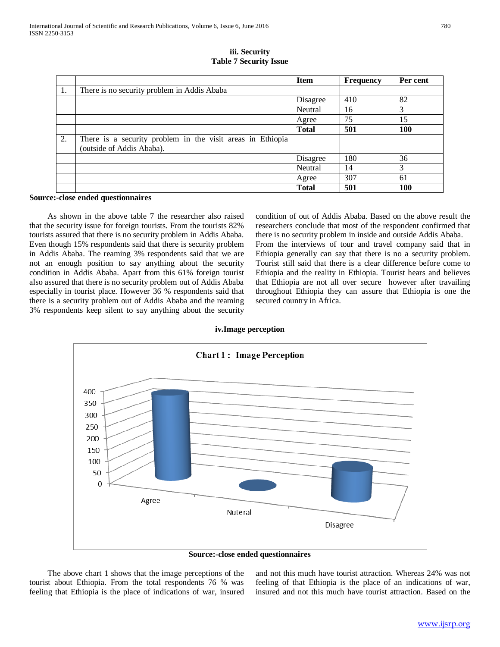|    |                                                                                         | <b>Item</b>  | <b>Frequency</b> | Per cent   |
|----|-----------------------------------------------------------------------------------------|--------------|------------------|------------|
| 1. | There is no security problem in Addis Ababa                                             |              |                  |            |
|    |                                                                                         | Disagree     | 410              | 82         |
|    |                                                                                         | Neutral      | 16               | 3          |
|    |                                                                                         | Agree        | 75               | 15         |
|    |                                                                                         | <b>Total</b> | 501              | <b>100</b> |
| 2. | There is a security problem in the visit areas in Ethiopia<br>(outside of Addis Ababa). |              |                  |            |
|    |                                                                                         | Disagree     | 180              | 36         |
|    |                                                                                         | Neutral      | 14               | 3          |
|    |                                                                                         | Agree        | 307              | 61         |
|    |                                                                                         | <b>Total</b> | 501              | <b>100</b> |

**iii. Security Table 7 Security Issue**

#### **Source:-close ended questionnaires**

 As shown in the above table 7 the researcher also raised that the security issue for foreign tourists. From the tourists 82% tourists assured that there is no security problem in Addis Ababa. Even though 15% respondents said that there is security problem in Addis Ababa. The reaming 3% respondents said that we are not an enough position to say anything about the security condition in Addis Ababa. Apart from this 61% foreign tourist also assured that there is no security problem out of Addis Ababa especially in tourist place. However 36 % respondents said that there is a security problem out of Addis Ababa and the reaming 3% respondents keep silent to say anything about the security

condition of out of Addis Ababa. Based on the above result the researchers conclude that most of the respondent confirmed that there is no security problem in inside and outside Addis Ababa. From the interviews of tour and travel company said that in Ethiopia generally can say that there is no a security problem. Tourist still said that there is a clear difference before come to Ethiopia and the reality in Ethiopia. Tourist hears and believes that Ethiopia are not all over secure however after travailing throughout Ethiopia they can assure that Ethiopia is one the secured country in Africa.



#### **iv.Image perception**

**Source:-close ended questionnaires**

 The above chart 1 shows that the image perceptions of the tourist about Ethiopia. From the total respondents 76 % was feeling that Ethiopia is the place of indications of war, insured and not this much have tourist attraction. Whereas 24% was not feeling of that Ethiopia is the place of an indications of war, insured and not this much have tourist attraction. Based on the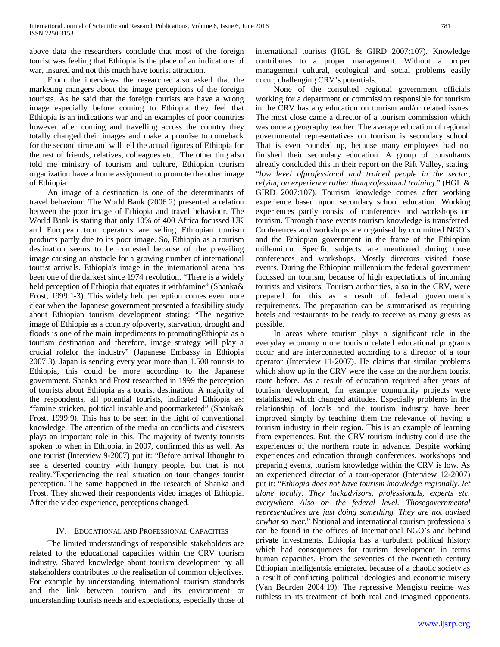above data the researchers conclude that most of the foreign tourist was feeling that Ethiopia is the place of an indications of war, insured and not this much have tourist attraction.

 From the interviews the researcher also asked that the marketing mangers about the image perceptions of the foreign tourists. As he said that the foreign tourists are have a wrong image especially before coming to Ethiopia they feel that Ethiopia is an indications war and an examples of poor countries however after coming and travelling across the country they totally changed their images and make a promise to comeback for the second time and will tell the actual figures of Ethiopia for the rest of friends, relatives, colleagues etc. The other ting also told me ministry of tourism and culture, Ethiopian tourism organization have a home assignment to promote the other image of Ethiopia.

 An image of a destination is one of the determinants of travel behaviour. The World Bank (2006:2) presented a relation between the poor image of Ethiopia and travel behaviour. The World Bank is stating that only 10% of 400 Africa focussed UK and European tour operators are selling Ethiopian tourism products partly due to its poor image. So, Ethiopia as a tourism destination seems to be contested because of the prevailing image causing an obstacle for a growing number of international tourist arrivals. Ethiopia's image in the international arena has been one of the darkest since 1974 revolution. "There is a widely held perception of Ethiopia that equates it withfamine" (Shanka& Frost, 1999:1-3). This widely held perception comes even more clear when the Japanese government presented a feasibility study about Ethiopian tourism development stating: "The negative image of Ethiopia as a country ofpoverty, starvation, drought and floods is one of the main impediments to promotingEthiopia as a tourism destination and therefore, image strategy will play a crucial rolefor the industry" (Japanese Embassy in Ethiopia 2007:3). Japan is sending every year more than 1.500 tourists to Ethiopia, this could be more according to the Japanese government. Shanka and Frost researched in 1999 the perception of tourists about Ethiopia as a tourist destination. A majority of the respondents, all potential tourists, indicated Ethiopia as: "famine stricken, political instable and poormarketed" (Shanka& Frost, 1999:9). This has to be seen in the light of conventional knowledge. The attention of the media on conflicts and disasters plays an important role in this. The majority of twenty tourists spoken to when in Ethiopia, in 2007, confirmed this as well. As one tourist (Interview 9-2007) put it: "Before arrival Ithought to see a deserted country with hungry people, but that is not reality."Experiencing the real situation on tour changes tourist perception. The same happened in the research of Shanka and Frost. They showed their respondents video images of Ethiopia. After the video experience, perceptions changed.

## IV. EDUCATIONAL AND PROFESSIONAL CAPACITIES

 The limited understandings of responsible stakeholders are related to the educational capacities within the CRV tourism industry. Shared knowledge about tourism development by all stakeholders contributes to the realisation of common objectives. For example by understanding international tourism standards and the link between tourism and its environment or understanding tourists needs and expectations, especially those of international tourists (HGL & GIRD 2007:107). Knowledge contributes to a proper management. Without a proper management cultural, ecological and social problems easily occur, challenging CRV's potentials.

 None of the consulted regional government officials working for a department or commission responsible for tourism in the CRV has any education on tourism and/or related issues. The most close came a director of a tourism commission which was once a geography teacher. The average education of regional governmental representatives on tourism is secondary school. That is even rounded up, because many employees had not finished their secondary education. A group of consultants already concluded this in their report on the Rift Valley, stating: "*low level ofprofessional and trained people in the sector, relying on experience rather thanprofessional training.*" (HGL & GIRD 2007:107). Tourism knowledge comes after working experience based upon secondary school education. Working experiences partly consist of conferences and workshops on tourism. Through those events tourism knowledge is transferred. Conferences and workshops are organised by committed NGO's and the Ethiopian government in the frame of the Ethiopian millennium. Specific subjects are mentioned during those conferences and workshops. Mostly directors visited those events. During the Ethiopian millennium the federal government focussed on tourism, because of high expectations of incoming tourists and visitors. Tourism authorities, also in the CRV, were prepared for this as a result of federal government's requirements. The preparation can be summarised as requiring hotels and restaurants to be ready to receive as many guests as possible.

 In areas where tourism plays a significant role in the everyday economy more tourism related educational programs occur and are interconnected according to a director of a tour operator (Interview 11-2007). He claims that similar problems which show up in the CRV were the case on the northern tourist route before. As a result of education required after years of tourism development, for example community projects were established which changed attitudes. Especially problems in the relationship of locals and the tourism industry have been improved simply by teaching them the relevance of having a tourism industry in their region. This is an example of learning from experiences. But, the CRV tourism industry could use the experiences of the northern route in advance. Despite working experiences and education through conferences, workshops and preparing events, tourism knowledge within the CRV is low. As an experienced director of a tour-operator (Interview 12-2007) put it: "*Ethiopia does not have tourism knowledge regionally, let alone locally. They lackadvisors, professionals, experts etc. everywhere Also on the federal level. Thosegovernmental representatives are just doing something. They are not advised orwhat so ever.*" National and international tourism professionals can be found in the offices of International NGO's and behind private investments. Ethiopia has a turbulent political history which had consequences for tourism development in terms human capacities. From the seventies of the twentieth century Ethiopian intelligentsia emigrated because of a chaotic society as a result of conflicting political ideologies and economic misery (Van Beurden 2004:19). The repressive Mengistu regime was ruthless in its treatment of both real and imagined opponents.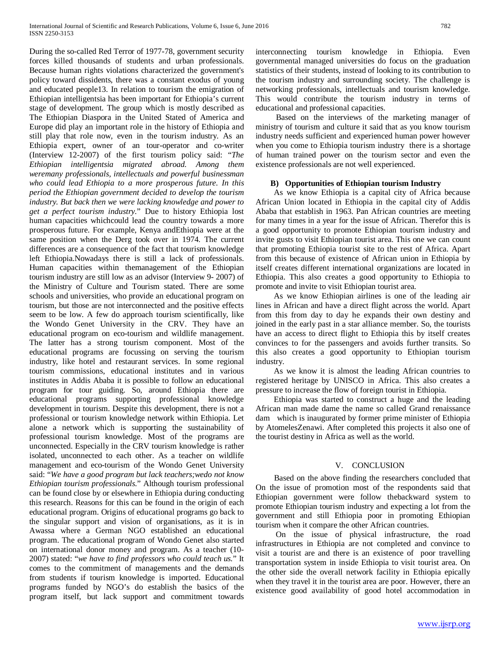During the so-called Red Terror of 1977-78, government security forces killed thousands of students and urban professionals. Because human rights violations characterized the government's policy toward dissidents, there was a constant exodus of young and educated people13. In relation to tourism the emigration of Ethiopian intelligentsia has been important for Ethiopia's current stage of development. The group which is mostly described as The Ethiopian Diaspora in the United Stated of America and Europe did play an important role in the history of Ethiopia and still play that role now, even in the tourism industry. As an Ethiopia expert, owner of an tour-operator and co-writer (Interview 12-2007) of the first tourism policy said: "*The Ethiopian intelligentsia migrated abroad. Among them weremany professionals, intellectuals and powerful businessman who could lead Ethiopia to a more prosperous future. In this period the Ethiopian government decided to develop the tourism industry. But back then we were lacking knowledge and power to get a perfect tourism industry.*" Due to history Ethiopia lost human capacities whichcould lead the country towards a more prosperous future. For example, Kenya andEthiopia were at the same position when the Derg took over in 1974. The current differences are a consequence of the fact that tourism knowledge left Ethiopia.Nowadays there is still a lack of professionals. Human capacities within themanagement of the Ethiopian tourism industry are still low as an advisor (Interview 9- 2007) of the Ministry of Culture and Tourism stated. There are some schools and universities, who provide an educational program on tourism, but those are not interconnected and the positive effects seem to be low. A few do approach tourism scientifically, like the Wondo Genet University in the CRV. They have an educational program on eco-tourism and wildlife management. The latter has a strong tourism component. Most of the educational programs are focussing on serving the tourism industry, like hotel and restaurant services. In some regional tourism commissions, educational institutes and in various institutes in Addis Ababa it is possible to follow an educational program for tour guiding. So, around Ethiopia there are educational programs supporting professional knowledge development in tourism. Despite this development, there is not a professional or tourism knowledge network within Ethiopia. Let alone a network which is supporting the sustainability of professional tourism knowledge. Most of the programs are unconnected. Especially in the CRV tourism knowledge is rather isolated, unconnected to each other. As a teacher on wildlife management and eco-tourism of the Wondo Genet University said: "*We have a good program but lack teachers;wedo not know Ethiopian tourism professionals.*" Although tourism professional can be found close by or elsewhere in Ethiopia during conducting this research. Reasons for this can be found in the origin of each educational program. Origins of educational programs go back to the singular support and vision of organisations, as it is in Awassa where a German NGO established an educational program. The educational program of Wondo Genet also started on international donor money and program. As a teacher (10- 2007) stated: "*we have to find professors who could teach us.*" It comes to the commitment of managements and the demands from students if tourism knowledge is imported. Educational programs funded by NGO's do establish the basics of the program itself, but lack support and commitment towards interconnecting tourism knowledge in Ethiopia. Even governmental managed universities do focus on the graduation statistics of their students, instead of looking to its contribution to the tourism industry and surrounding society. The challenge is networking professionals, intellectuals and tourism knowledge. This would contribute the tourism industry in terms of educational and professional capacities.

 Based on the interviews of the marketing manager of ministry of tourism and culture it said that as you know tourism industry needs sufficient and experienced human power however when you come to Ethiopia tourism industry there is a shortage of human trained power on the tourism sector and even the existence professionals are not well experienced.

## **B) Opportunities of Ethiopian tourism Industry**

 As we know Ethiopia is a capital city of Africa because African Union located in Ethiopia in the capital city of Addis Ababa that establish in 1963. Pan African countries are meeting for many times in a year for the issue of African. Therefor this is a good opportunity to promote Ethiopian tourism industry and invite gusts to visit Ethiopian tourist area. This one we can count that promoting Ethiopia tourist site to the rest of Africa. Apart from this because of existence of African union in Ethiopia by itself creates different international organizations are located in Ethiopia. This also creates a good opportunity to Ethiopia to promote and invite to visit Ethiopian tourist area.

 As we know Ethiopian airlines is one of the leading air lines in African and have a direct flight across the world. Apart from this from day to day he expands their own destiny and joined in the early past in a star alliance member. So, the tourists have an access to direct flight to Ethiopia this by itself creates convinces to for the passengers and avoids further transits. So this also creates a good opportunity to Ethiopian tourism industry.

 As we know it is almost the leading African countries to registered heritage by UNISCO in Africa. This also creates a pressure to increase the flow of foreign tourist in Ethiopia.

 Ethiopia was started to construct a huge and the leading African man made dame the name so called Grand renaissance dam which is inaugurated by former prime minister of Ethiopia by AtomelesZenawi. After completed this projects it also one of the tourist destiny in Africa as well as the world.

#### V. CONCLUSION

 Based on the above finding the researchers concluded that On the issue of promotion most of the respondents said that Ethiopian government were follow thebackward system to promote Ethiopian tourism industry and expecting a lot from the government and still Ethiopia poor in promoting Ethiopian tourism when it compare the other African countries.

 On the issue of physical infrastructure, the road infrastructures in Ethiopia are not completed and convince to visit a tourist are and there is an existence of poor travelling transportation system in inside Ethiopia to visit tourist area. On the other side the overall network facility in Ethiopia epically when they travel it in the tourist area are poor. However, there an existence good availability of good hotel accommodation in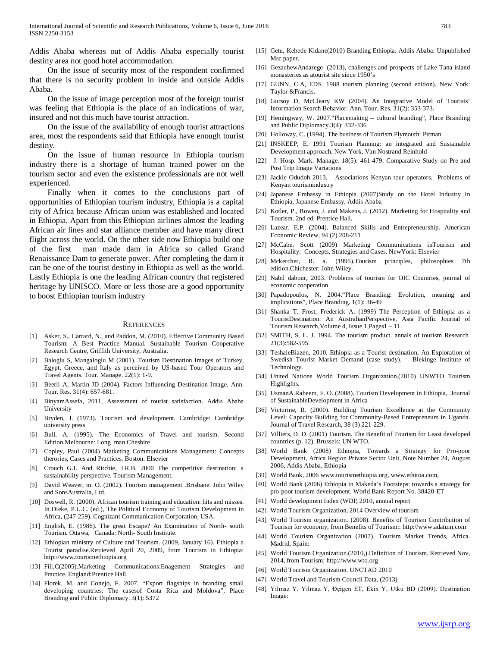Addis Ababa whereas out of Addis Ababa especially tourist destiny area not good hotel accommodation.

 On the issue of security most of the respondent confirmed that there is no security problem in inside and outside Addis Ababa.

 On the issue of image perception most of the foreign tourist was feeling that Ethiopia is the place of an indications of war, insured and not this much have tourist attraction.

 On the issue of the availability of enough tourist attractions area, most the respondents said that Ethiopia have enough tourist destiny.

 On the issue of human resource in Ethiopia tourism industry there is a shortage of human trained power on the tourism sector and even the existence professionals are not well experienced.

 Finally when it comes to the conclusions part of opportunities of Ethiopian tourism industry, Ethiopia is a capital city of Africa because African union was established and located in Ethiopia. Apart from this Ethiopian airlines almost the leading African air lines and star alliance member and have many direct flight across the world. On the other side now Ethiopia build one of the first man made dam in Africa so called Grand Renaissance Dam to generate power. After completing the dam it can be one of the tourist destiny in Ethiopia as well as the world. Lastly Ethiopia is one the leading African country that registered heritage by UNISCO. More or less those are a good opportunity to boost Ethiopian tourism industry

#### **REFERENCES**

- [1] Asker, S., Carrard, N., and Paddon, M. (2010). Effective Community Based Tourism: A Best Practice Manual. Sustainable Tourism Cooperative Research Centre, Griffith University, Australia.
- [2] Baloglu S, Mangaloglu M (2001). Tourism Destination Images of Turkey, Egypt, Greece, and Italy as perceived by US-based Tour Operators and Travel Agents. Tour. Manage. 22(1): 1-9.
- [3] Beerli A, Martin JD (2004). Factors Influencing Destination Image. Ann. Tour. Res. 31(4): 657-681.
- [4] BinyamAssefa, 2011, Assessment of tourist satisfaction. Addis Ababa University
- [5] Bryden, J. (1973). Tourism and development. Cambridge: Cambridge university press
- [6] Bull, A. (1995). The Economics of Travel and tourism. Second Edition.Melbourne: Long man Cheshire
- [7] Copley, Paul (2004) Matketing Communications Management: Concepts therories, Cases and Practices. Boston: Elsevier
- [8] Crouch G.I. And Ritchie, J.R.B. 2000 The competitive destination: a sustainability perspective. Tourism Management.
- [9] David Weaver, m. O. (2002). Tourism management .Brisbane: John Wiley and SonsAustralia, Ltd.
- [10] Doswell, R. (2000). African tourism training and education: hits and misses. In Dieke, P.U.C. (ed.), The Political Economy of Tourism Development in Africa, (247-259). Cognizant Communication Corporation, USA.
- [11] English, E. (1986). The great Escape? An Examination of North- south Tourism. Ottawa, Canada: North- South Institute.
- [12] Ethiopian ministry of Culture and Tourism. (2009, January 16). Ethiopia a Tourist paradise.Retrieved April 20, 2009, from Tourism in Ethiopia: http://www.tourismethiopia.org
- [13] Fill,C(2005).Marketing Communications:Enagement Strategies and Practice. England:Prentice Hall.
- [14] Florek, M. and Conejo, F. 2007. "Export flagships in branding small developing countries: The casesof Costa Rica and Moldova", Place Branding and Public Diplomacy. 3(1): 5372
- [15] Getu, Kebede Kidane(2010) Branding Ethiopia. Addis Ababa: Unpublished Msc paper.
- [16] GezachewAndarege (2013), challenges and prospects of Lake Tana island monasteries as atourist site since 1950's
- [17] GUNN, C.A, EDS. 1988 tourism planning (second edition). New York: Taylor &Francis.
- [18] Gursoy D, McCleary KW (2004). An Integrative Model of Tourists' Information Search Behavior. Ann. Tour. Res. 31(2): 353-373.
- [19] Hemingway, W. 2007."Placemaking cultural branding", Place Branding and Public Diplomacy.3(4): 332-336
- [20] Holloway, C. (1994). The business of Tourism.Plymouth: Pitman.
- [21] INSKEEP, E. 1991 Tourism Planning: an integrated and Sustainable Development approach. New York, Van Nostrand Reinhold
- [22] J. Hosp. Mark. Manage. 18(5): 461-479. Comparative Study on Pre and Post Trip Image Variations
- [23] Jackie Odudoh 2013, Associations Kenyan tour operators. Problems of Kenyan tourismindustry
- [24] Japanese Embassy in Ethiopia (2007)Study on the Hotel Industry in Ethiopia, Japanese Embassy, Addis Ababa
- [25] Kotler, P., Bowen, J. and Makens, J. (2012). Marketing for Hospitality and Tourism. 2nd ed. Prentice Hall.
- [26] Lazear, E.P. (2004). Balanced Skills and Entrepreneurship. American Economic Review, 94 (2) 208-211
- [27] McCabe, Scott (2009) Marketing Communications inTourism and Hospitality: Concepts, Strategies and Cases. NewYork: Elsevier
- [28] Mckercher, R. a. (1995).Tourism principles, philosophies 7th edition.Chichester: John Wiley.
- [29] Nabil dabour, 2003. Problems of tourism for OIC Countries, journal of economic cooperation
- [30] Papadopoulos, N. 2004."Place Branding: Evolution, meaning and implications", Place Branding. 1(1): 36-49
- [31] Shanka T, Frost, Frederick A. (1999) The Perception of Ethiopia as a TouristDestination: An AustralianPerspective, Asia Pacific Journal of Tourism Research,Volume 4, Issue 1,Pages1 – 11.
- [32] SMITH, S. L. J. 1994. The tourism product. annals of tourism Research. 21(3):582-595.
- [33] TeshaleBiazen, 2010, Ethiopia as a Tourist destination, An Exploration of Swedish Tourist Market Demand (case study), Blekinge Institute of Technology.
- [34] United Nations World Tourism Organization.(2010) UNWTO Tourism Highlights.
- [35] UsmanA.Raheem, F. O. (2008). Tourism Development in Ethiopia, .Journal of SustainableDevelopment in Africa
- [36] Victurine, R. (2000). Building Tourism Excellence at the Community Level: Capacity Building for Community-Based Entrepreneurs in Uganda. Journal of Travel Research, 38 (3) 221-229.
- [37] Villiers, D. D. (2001) Tourism. The Benefit of Tourism for Least developed countries (p. 12). Brussels: UN WTO.
- [38] World Bank (2008) Ethiopia, Towards a Strategy for Pro-poor Development, Africa Region Private Sector Unit, Note Number 24, August 2006, Addis Ababa, Ethiopia
- [39] World Bank, 2006 www.tourismethiopia.org, www.ethitoa.com,
- [40] World Bank (2006) Ethiopia in Makeda's Footsteps: towards a strategy for pro-poor tourism development. World Bank Report No. 38420-ET
- [41] World development Index (WDI) 2010, annual report
- [42] World Tourism Organization, 2014 Overview of tourism
- [43] World Tourism organization. (2008). Benefits of Tourism Contribution of Tourism for economy, from Benefits of Tourism:: http://www.adatum.com
- [44] World Tourism Organization (2007). Tourism Market Trends, Africa. Madrid, Spain:
- [45] World Tourism Organization.(2010,).Definition of Tourism. Retrieved Nov, 2014, from Tourism: http://www.wto.org
- [46] World Tourism Organization. UNCTAD 2010
- [47] World Travel and Tourism Council Data, (2013)
- [48] Yilmaz Y, Yilmaz Y, Đçigen ET, Ekin Y, Utku BD (2009). Destination Image: